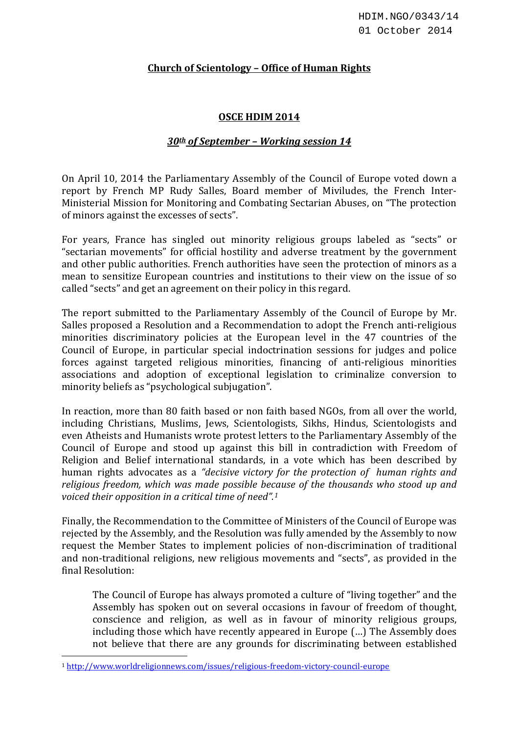## **Church of Scientology – Office of Human Rights**

## **OSCE HDIM 2014**

## *30th of September – Working session 14*

On April 10, 2014 the Parliamentary Assembly of the Council of Europe voted down a report by French MP Rudy Salles, Board member of Miviludes, the French Inter-Ministerial Mission for Monitoring and Combating Sectarian Abuses, on "The protection of minors against the excesses of sects".

For years, France has singled out minority religious groups labeled as "sects" or "sectarian movements" for official hostility and adverse treatment by the government and other public authorities. French authorities have seen the protection of minors as a mean to sensitize European countries and institutions to their view on the issue of so called "sects" and get an agreement on their policy in this regard.

The report submitted to the Parliamentary Assembly of the Council of Europe by Mr. Salles proposed a Resolution and a Recommendation to adopt the French anti-religious minorities discriminatory policies at the European level in the 47 countries of the Council of Europe, in particular special indoctrination sessions for judges and police forces against targeted religious minorities, financing of anti-religious minorities associations and adoption of exceptional legislation to criminalize conversion to minority beliefs as "psychological subjugation".

In reaction, more than 80 faith based or non faith based NGOs, from all over the world, including Christians, Muslims, Jews, Scientologists, Sikhs, Hindus, Scientologists and even Atheists and Humanists wrote protest letters to the Parliamentary Assembly of the Council of Europe and stood up against this bill in contradiction with Freedom of Religion and Belief international standards, in a vote which has been described by human rights advocates as a *"decisive victory for the protection of human rights and religious freedom, which was made possible because of the thousands who stood up and voiced their opposition in a critical time of need". [1](#page-0-0)*

Finally, the Recommendation to the Committee of Ministers of the Council of Europe was rejected by the Assembly, and the Resolution was fully amended by the Assembly to now request the Member States to implement policies of non-discrimination of traditional and non-traditional religions, new religious movements and "sects", as provided in the final Resolution:

The Council of Europe has always promoted a culture of "living together" and the Assembly has spoken out on several occasions in favour of freedom of thought, conscience and religion, as well as in favour of minority religious groups, including those which have recently appeared in Europe (…) The Assembly does not believe that there are any grounds for discriminating between established

<span id="page-0-0"></span><sup>1</sup> <http://www.worldreligionnews.com/issues/religious-freedom-victory-council-europe>